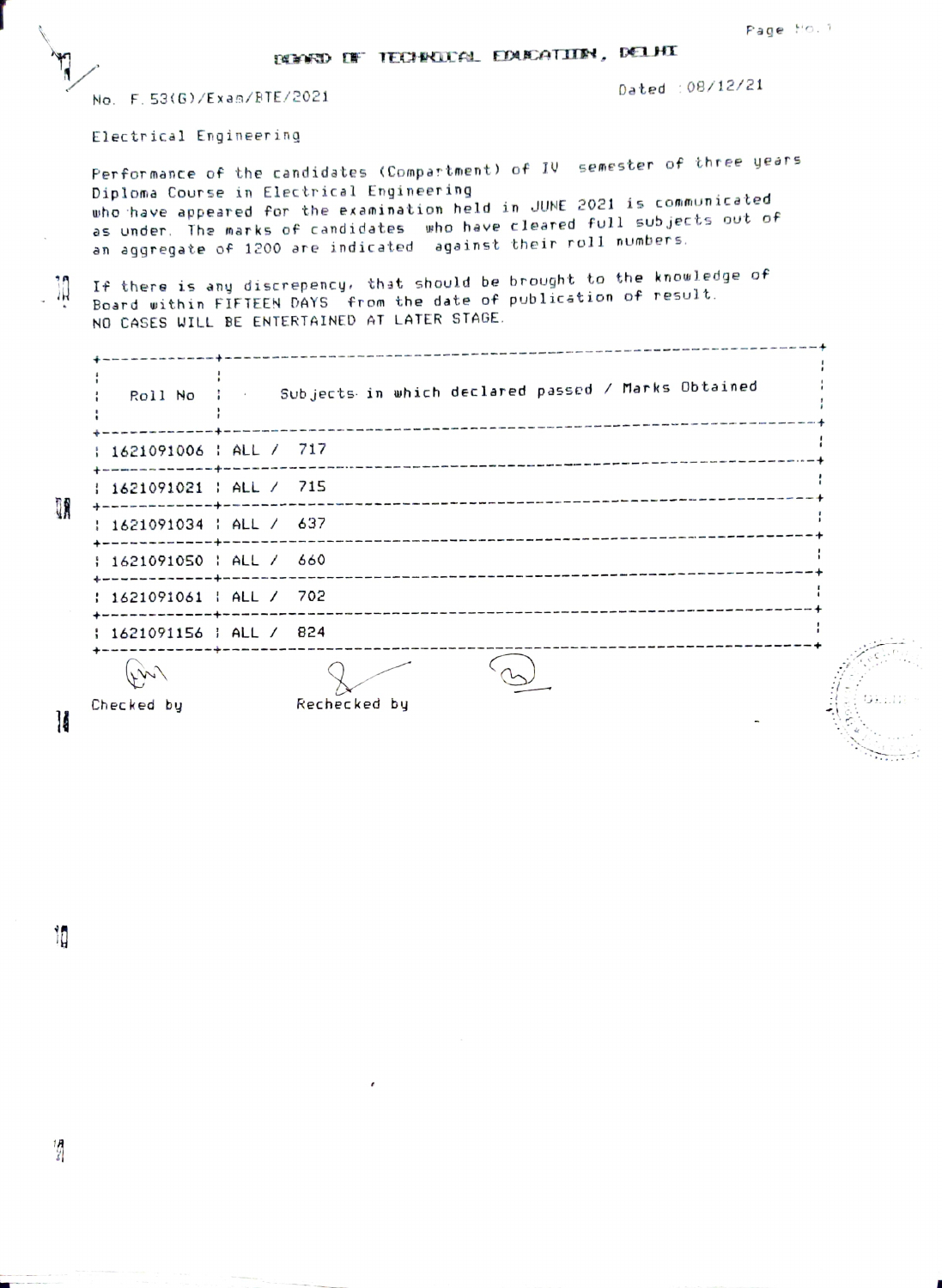\_\_\_\_\_\_\_\_\_\_\_\_\_\_

No. F. 53(G)/Exan/FTE/2021

Dated 08/12/21

Electr ical Engineering

Perfor mance of the candidates (Compar tment) of IV semester of three yeàrs Diploma Course in Electrical Engineering who have appeared for the examination held in JUNE 2021 is communicated as under. The marks of candidates who have cleared full sub jects out of an aggregate of 1200 are indicated against their roll numbers.

It there is any discrepency. that should be brought to the knouledge of Board vithin FIFTEEN DAYS from the date of publication of result. ांत NO CASES WILL BE ENTERTAINED AT LATER STAGE.

| Roll No : : : :                                    | Subjects in which declared passed / Marks Obtained |  |
|----------------------------------------------------|----------------------------------------------------|--|
| 1621091006   ALL / 717                             |                                                    |  |
| 1621091021   ALL / 715                             |                                                    |  |
| : 1621091034 : ALL / 637                           |                                                    |  |
| $\frac{1621091050}{1621091050}$ ; ALL / 660        |                                                    |  |
| : 1621091061 : ALL / 702                           |                                                    |  |
| : 1621091156 ; ALL / 824<br>-----------+---------- |                                                    |  |
| W                                                  |                                                    |  |
| Checked by                                         | Rechecked by                                       |  |

 $\mathbf{k}$ 

T

H

1þ

 $\frac{1}{s}$